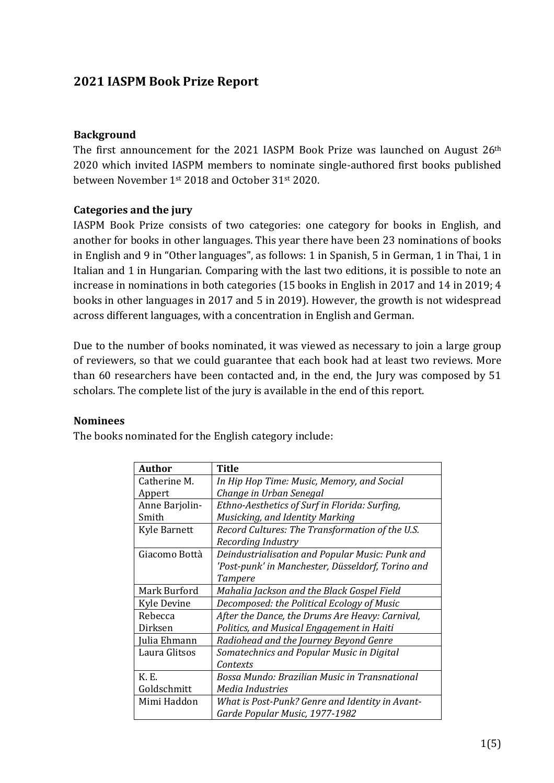# **2021 IASPM Book Prize Report**

## **Background**

The first announcement for the 2021 IASPM Book Prize was launched on August  $26<sup>th</sup>$ 2020 which invited IASPM members to nominate single-authored first books published between November 1<sup>st</sup> 2018 and October 31<sup>st</sup> 2020.

## **Categories** and the jury

IASPM Book Prize consists of two categories: one category for books in English, and another for books in other languages. This year there have been 23 nominations of books in English and 9 in "Other languages", as follows: 1 in Spanish, 5 in German, 1 in Thai, 1 in Italian and 1 in Hungarian. Comparing with the last two editions, it is possible to note an increase in nominations in both categories (15 books in English in 2017 and 14 in 2019; 4 books in other languages in 2017 and 5 in 2019). However, the growth is not widespread across different languages, with a concentration in English and German.

Due to the number of books nominated, it was viewed as necessary to join a large group of reviewers, so that we could guarantee that each book had at least two reviews. More than  $60$  researchers have been contacted and, in the end, the Jury was composed by  $51$ scholars. The complete list of the jury is available in the end of this report.

### **Nominees**

The books nominated for the English category include:

| <b>Author</b>       | <b>Title</b>                                      |
|---------------------|---------------------------------------------------|
| Catherine M.        | In Hip Hop Time: Music, Memory, and Social        |
| Appert              | Change in Urban Senegal                           |
| Anne Barjolin-      | Ethno-Aesthetics of Surf in Florida: Surfing,     |
| Smith               | Musicking, and Identity Marking                   |
| <b>Kyle Barnett</b> | Record Cultures: The Transformation of the U.S.   |
|                     | Recording Industry                                |
| Giacomo Bottà       | Deindustrialisation and Popular Music: Punk and   |
|                     | 'Post-punk' in Manchester, Düsseldorf, Torino and |
|                     | Tampere                                           |
| Mark Burford        | Mahalia Jackson and the Black Gospel Field        |
| <b>Kyle Devine</b>  | Decomposed: the Political Ecology of Music        |
| Rebecca             | After the Dance, the Drums Are Heavy: Carnival,   |
| Dirksen             | Politics, and Musical Engagement in Haiti         |
| Julia Ehmann        | Radiohead and the Journey Beyond Genre            |
| Laura Glitsos       | Somatechnics and Popular Music in Digital         |
|                     | Contexts                                          |
| K. E.               | Bossa Mundo: Brazilian Music in Transnational     |
| Goldschmitt         | Media Industries                                  |
| Mimi Haddon         | What is Post-Punk? Genre and Identity in Avant-   |
|                     | Garde Popular Music, 1977-1982                    |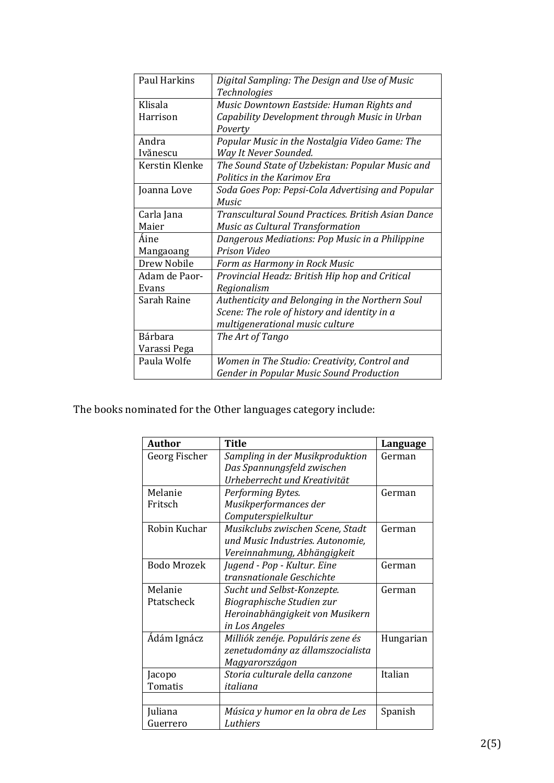| <b>Paul Harkins</b> | Digital Sampling: The Design and Use of Music      |  |  |
|---------------------|----------------------------------------------------|--|--|
|                     | <b>Technologies</b>                                |  |  |
| Klisala             | Music Downtown Eastside: Human Rights and          |  |  |
| Harrison            | Capability Development through Music in Urban      |  |  |
|                     | Poverty                                            |  |  |
| Andra               | Popular Music in the Nostalgia Video Game: The     |  |  |
| Ivănescu            | Way It Never Sounded.                              |  |  |
| Kerstin Klenke      | The Sound State of Uzbekistan: Popular Music and   |  |  |
|                     | Politics in the Karimov Era                        |  |  |
| Joanna Love         | Soda Goes Pop: Pepsi-Cola Advertising and Popular  |  |  |
|                     | <b>Music</b>                                       |  |  |
| Carla Jana          | Transcultural Sound Practices, British Asian Dance |  |  |
| Maier               | Music as Cultural Transformation                   |  |  |
| Áine                | Dangerous Mediations: Pop Music in a Philippine    |  |  |
| Mangaoang           | Prison Video                                       |  |  |
| Drew Nobile         | Form as Harmony in Rock Music                      |  |  |
| Adam de Paor-       | Provincial Headz: British Hip hop and Critical     |  |  |
| Evans               | Regionalism                                        |  |  |
| Sarah Raine         | Authenticity and Belonging in the Northern Soul    |  |  |
|                     | Scene: The role of history and identity in a       |  |  |
|                     | multigenerational music culture                    |  |  |
| <b>Bárhara</b>      | The Art of Tango                                   |  |  |
| Varassi Pega        |                                                    |  |  |
| Paula Wolfe         | Women in The Studio: Creativity, Control and       |  |  |
|                     | Gender in Popular Music Sound Production           |  |  |

The books nominated for the Other languages category include:

| <b>Author</b>      | <b>Title</b>                      | Language  |
|--------------------|-----------------------------------|-----------|
| Georg Fischer      | Sampling in der Musikproduktion   | German    |
|                    | Das Spannungsfeld zwischen        |           |
|                    | Urheberrecht und Kreativität      |           |
| Melanie            | Performing Bytes.                 | German    |
| Fritsch            | Musikperformances der             |           |
|                    | Computerspielkultur               |           |
| Robin Kuchar       | Musikclubs zwischen Scene, Stadt  | German    |
|                    | und Music Industries. Autonomie,  |           |
|                    | Vereinnahmung, Abhängigkeit       |           |
| <b>Bodo Mrozek</b> | Jugend - Pop - Kultur. Eine       | German    |
|                    | transnationale Geschichte         |           |
| Melanie            | Sucht und Selbst-Konzepte.        | German    |
| Ptatscheck         | Biographische Studien zur         |           |
|                    | Heroinabhängigkeit von Musikern   |           |
|                    | in Los Angeles                    |           |
| Ádám Ignácz        | Milliók zenéje. Populáris zene és | Hungarian |
|                    | zenetudomány az államszocialista  |           |
|                    | Magyarországon                    |           |
| Jacopo             | Storia culturale della canzone    | Italian   |
| Tomatis            | italiana                          |           |
|                    |                                   |           |
| Juliana            | Música y humor en la obra de Les  | Spanish   |
| Guerrero           | Luthiers                          |           |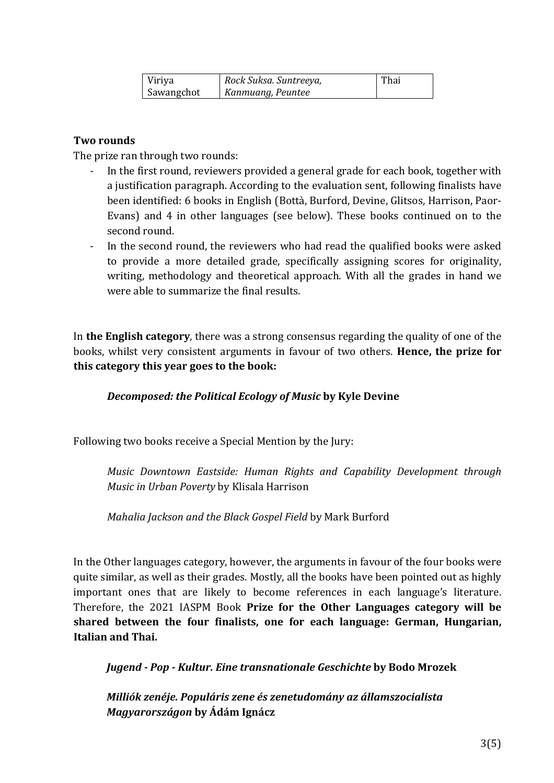| Viriya     | Rock Suksa. Suntreeya, | Thai |
|------------|------------------------|------|
| Sawangchot | Kanmuang, Peuntee      |      |

# **Two rounds**

The prize ran through two rounds:

- In the first round, reviewers provided a general grade for each book, together with a justification paragraph. According to the evaluation sent, following finalists have been identified: 6 books in English (Bottà, Burford, Devine, Glitsos, Harrison, Paor-Evans) and  $4$  in other languages (see below). These books continued on to the second round.
- In the second round, the reviewers who had read the qualified books were asked to provide a more detailed grade, specifically assigning scores for originality, writing, methodology and theoretical approach. With all the grades in hand we were able to summarize the final results.

In **the English category**, there was a strong consensus regarding the quality of one of the books, whilst very consistent arguments in favour of two others. **Hence, the prize for this category this year goes to the book:** 

### *Decomposed: the Political Ecology of Music* **by Kyle Devine**

Following two books receive a Special Mention by the Jury:

*Music Downtown Eastside: Human Rights and Capability Development through Music in Urban Poverty* by Klisala Harrison

*Mahalia Jackson and the Black Gospel Field by Mark Burford* 

In the Other languages category, however, the arguments in favour of the four books were quite similar, as well as their grades. Mostly, all the books have been pointed out as highly important ones that are likely to become references in each language's literature. Therefore, the 2021 IASPM Book **Prize for the Other Languages category will be shared between the four finalists, one for each language: German, Hungarian, Italian and Thai.**

*Jugend - Pop - Kultur. Eine transnationale Geschichte* **by Bodo Mrozek**

*Milliók zenéje. Populáris zene és zenetudomány az államszocialista Magyarországon* **by Ádám Ignácz**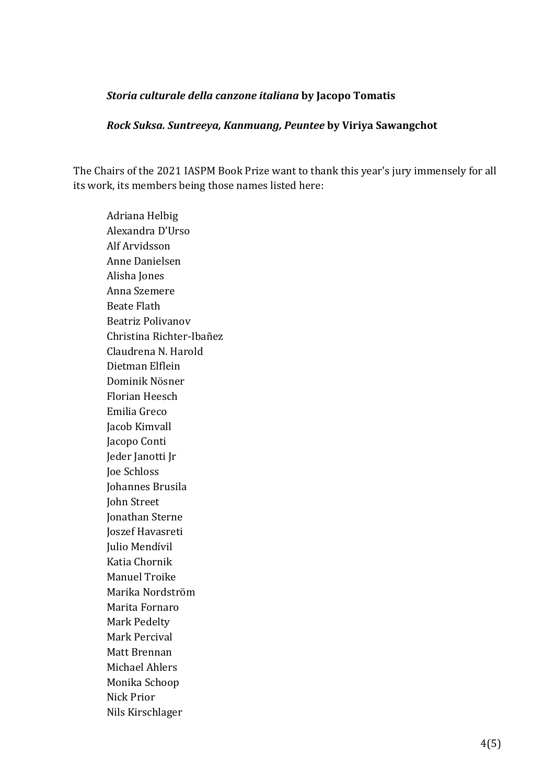#### *Storia culturale della canzone italiana* **by Jacopo Tomatis**

#### *Rock Suksa. Suntreeya, Kanmuang, Peuntee* **by Viriya Sawangchot**

The Chairs of the 2021 IASPM Book Prize want to thank this year's jury immensely for all its work, its members being those names listed here:

Adriana Helbig Alexandra D'Urso Alf Arvidsson Anne Danielsen Alisha Jones Anna Szemere Beate Flath Beatriz Polivanov Christina Richter-Ibañez Claudrena N. Harold Dietman Elflein Dominik Nösner Florian Heesch Emilia Greco Jacob Kimvall Jacopo Conti Jeder Janotti Jr Joe Schloss Johannes Brusila John Street Jonathan Sterne Joszef Havasreti Julio Mendívil Katia Chornik Manuel Troike Marika Nordström Marita Fornaro Mark Pedelty Mark Percival Matt Brennan Michael Ahlers Monika Schoop Nick Prior Nils Kirschlager